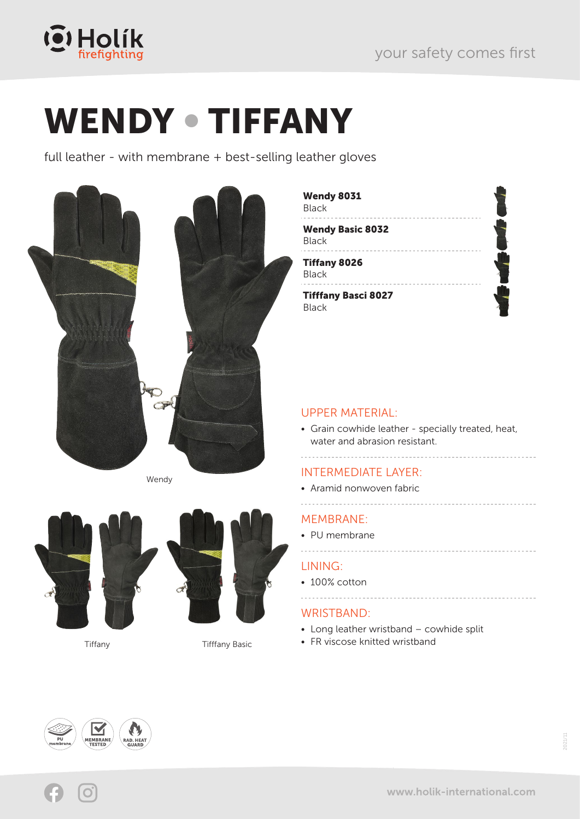

# WENDY • TIFFANY

full leather - with membrane + best-selling leather gloves



Wendy



Tiffany Tifffany Basic

MEMBRANE: • PU membrane

### LINING:

• 100% cotton 

UPPER MATERIAL:

Wendy 8031

Tiffany 8026

Wendy Basic 8032

. . . . . . . . . . . . . . . .

Tifffany Basci 8027

Black

Black

Black

Black

water and abrasion resistant.

INTERMEDIATE LAYER: • Aramid nonwoven fabric

### WRISTBAND:

• Long leather wristband – cowhide split

• Grain cowhide leather - specially treated, heat,

• FR viscose knitted wristband



2021/11